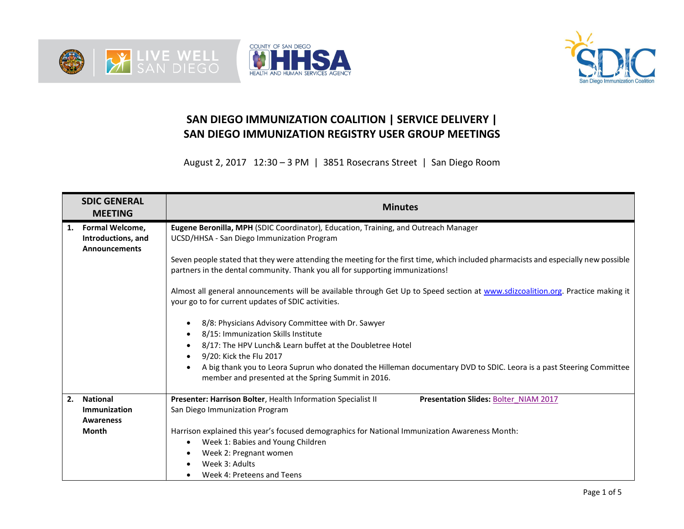





## **SAN DIEGO IMMUNIZATION COALITION | SERVICE DELIVERY | SAN DIEGO IMMUNIZATION REGISTRY USER GROUP MEETINGS**

August 2, 2017 12:30 – 3 PM | 3851 Rosecrans Street | San Diego Room

|    | <b>SDIC GENERAL</b><br><b>MEETING</b>                                | <b>Minutes</b>                                                                                                                                                                                                                                                                                                                                        |  |  |  |  |  |
|----|----------------------------------------------------------------------|-------------------------------------------------------------------------------------------------------------------------------------------------------------------------------------------------------------------------------------------------------------------------------------------------------------------------------------------------------|--|--|--|--|--|
| 1. | <b>Formal Welcome,</b><br>Introductions, and<br><b>Announcements</b> | Eugene Beronilla, MPH (SDIC Coordinator), Education, Training, and Outreach Manager<br>UCSD/HHSA - San Diego Immunization Program                                                                                                                                                                                                                     |  |  |  |  |  |
|    |                                                                      | Seven people stated that they were attending the meeting for the first time, which included pharmacists and especially new possible<br>partners in the dental community. Thank you all for supporting immunizations!                                                                                                                                  |  |  |  |  |  |
|    |                                                                      | Almost all general announcements will be available through Get Up to Speed section at www.sdizcoalition.org. Practice making it<br>your go to for current updates of SDIC activities.                                                                                                                                                                 |  |  |  |  |  |
|    |                                                                      | 8/8: Physicians Advisory Committee with Dr. Sawyer<br>$\bullet$<br>8/15: Immunization Skills Institute<br>٠<br>8/17: The HPV Lunch& Learn buffet at the Doubletree Hotel<br>9/20: Kick the Flu 2017<br>$\bullet$<br>A big thank you to Leora Suprun who donated the Hilleman documentary DVD to SDIC. Leora is a past Steering Committee<br>$\bullet$ |  |  |  |  |  |
|    |                                                                      | member and presented at the Spring Summit in 2016.                                                                                                                                                                                                                                                                                                    |  |  |  |  |  |
| 2. | <b>National</b><br>Immunization<br><b>Awareness</b>                  | Presenter: Harrison Bolter, Health Information Specialist II<br>Presentation Slides: Bolter NIAM 2017<br>San Diego Immunization Program                                                                                                                                                                                                               |  |  |  |  |  |
|    | <b>Month</b>                                                         | Harrison explained this year's focused demographics for National Immunization Awareness Month:<br>Week 1: Babies and Young Children<br>٠<br>Week 2: Pregnant women<br>Week 3: Adults<br>Week 4: Preteens and Teens                                                                                                                                    |  |  |  |  |  |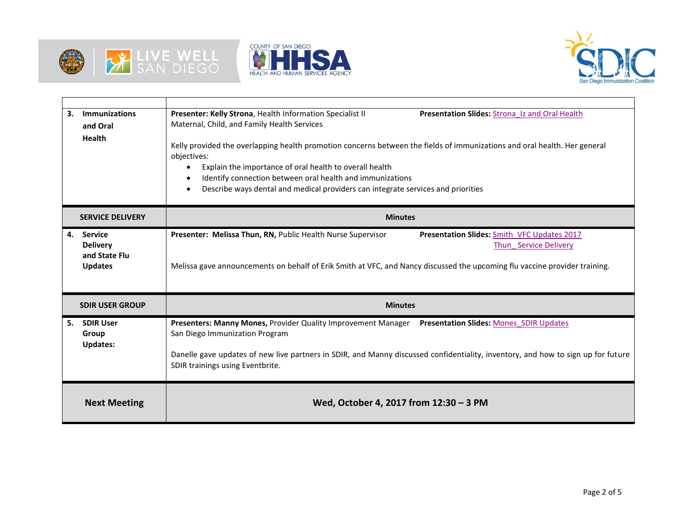





| 3. | <b>Immunizations</b><br>and Oral<br><b>Health</b>                    | Presenter: Kelly Strona, Health Information Specialist II<br>Presentation Slides: Strona Iz and Oral Health<br>Maternal, Child, and Family Health Services<br>Kelly provided the overlapping health promotion concerns between the fields of immunizations and oral health. Her general<br>objectives:<br>Explain the importance of oral health to overall health<br>$\bullet$<br>Identify connection between oral health and immunizations<br>$\bullet$<br>Describe ways dental and medical providers can integrate services and priorities<br>$\bullet$ |  |  |  |  |  |
|----|----------------------------------------------------------------------|-----------------------------------------------------------------------------------------------------------------------------------------------------------------------------------------------------------------------------------------------------------------------------------------------------------------------------------------------------------------------------------------------------------------------------------------------------------------------------------------------------------------------------------------------------------|--|--|--|--|--|
|    | <b>SERVICE DELIVERY</b>                                              | <b>Minutes</b>                                                                                                                                                                                                                                                                                                                                                                                                                                                                                                                                            |  |  |  |  |  |
| 4. | <b>Service</b><br><b>Delivery</b><br>and State Flu<br><b>Updates</b> | Presenter: Melissa Thun, RN, Public Health Nurse Supervisor<br>Presentation Slides: Smith VFC Updates 2017<br>Thun Service Delivery<br>Melissa gave announcements on behalf of Erik Smith at VFC, and Nancy discussed the upcoming flu vaccine provider training.                                                                                                                                                                                                                                                                                         |  |  |  |  |  |
|    | <b>SDIR USER GROUP</b>                                               | <b>Minutes</b>                                                                                                                                                                                                                                                                                                                                                                                                                                                                                                                                            |  |  |  |  |  |
| 5. | <b>SDIR User</b><br>Group<br><b>Updates:</b>                         | Presenters: Manny Mones, Provider Quality Improvement Manager Presentation Slides: Mones SDIR Updates<br>San Diego Immunization Program<br>Danelle gave updates of new live partners in SDIR, and Manny discussed confidentiality, inventory, and how to sign up for future<br>SDIR trainings using Eventbrite.                                                                                                                                                                                                                                           |  |  |  |  |  |
|    | <b>Next Meeting</b>                                                  | Wed, October 4, 2017 from 12:30 - 3 PM                                                                                                                                                                                                                                                                                                                                                                                                                                                                                                                    |  |  |  |  |  |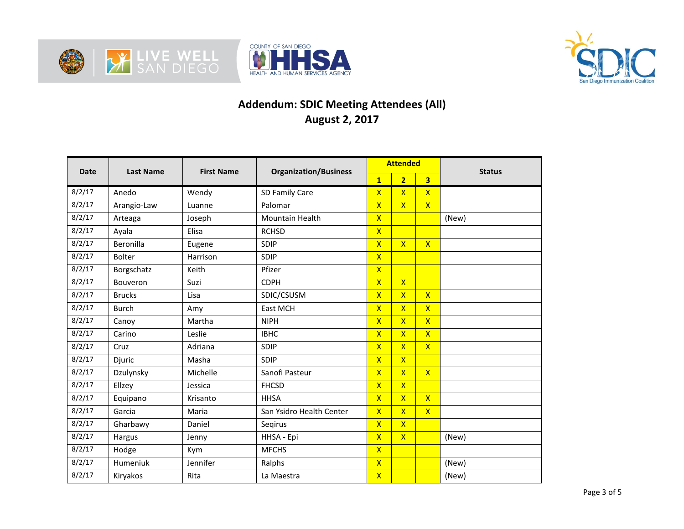





## **Addendum: SDIC Meeting Attendees (All) August 2, 2017**

| <b>Date</b> | <b>Last Name</b> | <b>First Name</b> | <b>Organization/Business</b> | <b>Attended</b>         |                         |                         | <b>Status</b> |
|-------------|------------------|-------------------|------------------------------|-------------------------|-------------------------|-------------------------|---------------|
|             |                  |                   |                              | $\overline{1}$          | $\overline{2}$          | 3 <sup>1</sup>          |               |
| 8/2/17      | Anedo            | Wendy             | SD Family Care               | $\mathsf{x}$            | $\mathsf{X}$            | $\mathsf{X}$            |               |
| 8/2/17      | Arangio-Law      | Luanne            | Palomar                      | $\overline{\mathsf{x}}$ | $\overline{\mathsf{x}}$ | $\mathsf{x}$            |               |
| 8/2/17      | Arteaga          | Joseph            | Mountain Health              | $\overline{\mathsf{X}}$ |                         |                         | (New)         |
| 8/2/17      | Ayala            | Elisa             | <b>RCHSD</b>                 | $\overline{\mathsf{x}}$ |                         |                         |               |
| 8/2/17      | Beronilla        | Eugene            | SDIP                         | $\overline{\mathsf{x}}$ | $\overline{\mathsf{x}}$ | $\mathsf{X}$            |               |
| 8/2/17      | <b>Bolter</b>    | Harrison          | SDIP                         | $\overline{\mathsf{x}}$ |                         |                         |               |
| 8/2/17      | Borgschatz       | Keith             | Pfizer                       | $\overline{\mathsf{x}}$ |                         |                         |               |
| 8/2/17      | Bouveron         | Suzi              | <b>CDPH</b>                  | $\overline{\mathsf{X}}$ | $\overline{\mathsf{x}}$ |                         |               |
| 8/2/17      | <b>Brucks</b>    | Lisa              | SDIC/CSUSM                   | $\overline{\mathsf{x}}$ | $\overline{\mathsf{x}}$ | $\mathsf{X}$            |               |
| 8/2/17      | <b>Burch</b>     | Amy               | East MCH                     | $\overline{\mathsf{x}}$ | $\overline{\mathsf{x}}$ | $\overline{X}$          |               |
| 8/2/17      | Canoy            | Martha            | <b>NIPH</b>                  | $\overline{\mathsf{x}}$ | $\overline{\mathsf{x}}$ | $\overline{\mathsf{X}}$ |               |
| 8/2/17      | Carino           | Leslie            | <b>IBHC</b>                  | $\overline{\mathsf{x}}$ | $\overline{\mathsf{x}}$ | $\overline{X}$          |               |
| 8/2/17      | Cruz             | Adriana           | SDIP                         | $\overline{\mathsf{x}}$ | $\overline{\mathsf{x}}$ | $\overline{\mathsf{x}}$ |               |
| 8/2/17      | Djuric           | Masha             | SDIP                         | $\overline{\mathsf{x}}$ | $\overline{\mathsf{X}}$ |                         |               |
| 8/2/17      | Dzulynsky        | Michelle          | Sanofi Pasteur               | $\overline{\mathsf{x}}$ | $\overline{\mathsf{x}}$ | $\mathsf{X}$            |               |
| 8/2/17      | Ellzey           | Jessica           | <b>FHCSD</b>                 | $\overline{\mathsf{x}}$ | $\overline{\mathsf{X}}$ |                         |               |
| 8/2/17      | Equipano         | Krisanto          | <b>HHSA</b>                  | $\overline{\mathsf{x}}$ | $\overline{\mathsf{x}}$ | $\mathsf{X}$            |               |
| 8/2/17      | Garcia           | Maria             | San Ysidro Health Center     | $\overline{\mathsf{x}}$ | $\overline{\mathsf{x}}$ | $\mathsf{x}$            |               |
| 8/2/17      | Gharbawy         | Daniel            | Segirus                      | $\mathsf{X}$            | $\mathsf{X}$            |                         |               |
| 8/2/17      | Hargus           | Jenny             | HHSA - Epi                   | $\mathsf{x}$            | $\overline{\mathsf{X}}$ |                         | (New)         |
| 8/2/17      | Hodge            | Kym               | <b>MFCHS</b>                 | $\mathsf{X}$            |                         |                         |               |
| 8/2/17      | Humeniuk         | Jennifer          | Ralphs                       | $\mathsf{X}$            |                         |                         | (New)         |
| 8/2/17      | Kiryakos         | Rita              | La Maestra                   | $\overline{\mathsf{X}}$ |                         |                         | (New)         |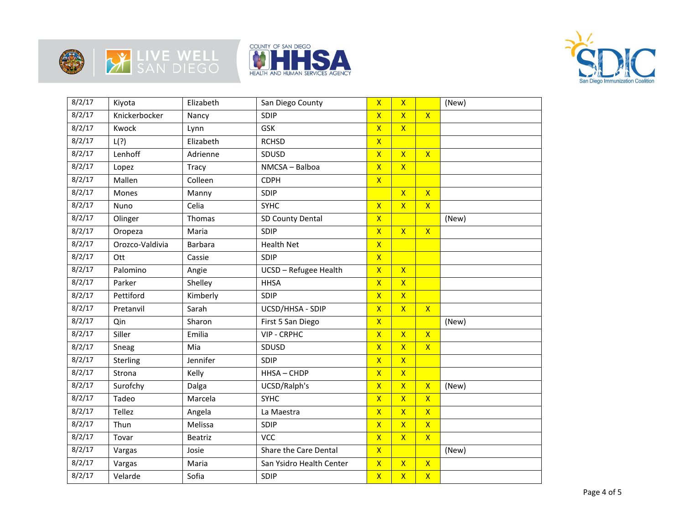







| 8/2/17 | Kiyota          | Elizabeth      | San Diego County         | $\mathsf{x}$            | $\mathsf{X}$            |                         | (New) |
|--------|-----------------|----------------|--------------------------|-------------------------|-------------------------|-------------------------|-------|
| 8/2/17 | Knickerbocker   | Nancy          | SDIP                     | $\overline{\mathsf{X}}$ | $\overline{\mathsf{x}}$ | $\overline{\mathsf{x}}$ |       |
| 8/2/17 | Kwock           | Lynn           | GSK                      | $\overline{\mathsf{x}}$ | $\overline{\mathbf{x}}$ |                         |       |
| 8/2/17 | L(?)            | Elizabeth      | <b>RCHSD</b>             | $\overline{\mathsf{X}}$ |                         |                         |       |
| 8/2/17 | Lenhoff         | Adrienne       | SDUSD                    | $\overline{\mathsf{x}}$ | $\overline{\mathsf{x}}$ | $\overline{\mathsf{x}}$ |       |
| 8/2/17 | Lopez           | Tracy          | NMCSA - Balboa           | $\overline{\mathsf{X}}$ | $\overline{\mathsf{x}}$ |                         |       |
| 8/2/17 | Mallen          | Colleen        | <b>CDPH</b>              | $\overline{\mathsf{x}}$ |                         |                         |       |
| 8/2/17 | Mones           | Manny          | SDIP                     |                         | $\overline{\mathsf{x}}$ | $\overline{\mathsf{x}}$ |       |
| 8/2/17 | Nuno            | Celia          | <b>SYHC</b>              | $\overline{\mathsf{x}}$ | $\overline{\mathsf{x}}$ | $\overline{\mathsf{x}}$ |       |
| 8/2/17 | Olinger         | Thomas         | SD County Dental         | $\overline{\mathsf{X}}$ |                         |                         | (New) |
| 8/2/17 | Oropeza         | Maria          | SDIP                     | $\overline{\mathsf{X}}$ | $\overline{\mathsf{x}}$ | $\mathsf{X}$            |       |
| 8/2/17 | Orozco-Valdivia | <b>Barbara</b> | <b>Health Net</b>        | $\overline{\mathsf{X}}$ |                         |                         |       |
| 8/2/17 | Ott             | Cassie         | SDIP                     | $\overline{\mathsf{x}}$ |                         |                         |       |
| 8/2/17 | Palomino        | Angie          | UCSD - Refugee Health    | $\overline{X}$          | $\overline{X}$          |                         |       |
| 8/2/17 | Parker          | Shelley        | <b>HHSA</b>              | $\overline{\mathsf{x}}$ | $\overline{\mathsf{x}}$ |                         |       |
| 8/2/17 | Pettiford       | Kimberly       | SDIP                     | $\overline{\mathsf{X}}$ | $\overline{\mathsf{x}}$ |                         |       |
| 8/2/17 | Pretanvil       | Sarah          | UCSD/HHSA - SDIP         | $\overline{\mathsf{x}}$ | $\overline{\mathsf{x}}$ | $\overline{\mathsf{x}}$ |       |
| 8/2/17 | Qin             | Sharon         | First 5 San Diego        | $\mathsf{X}$            |                         |                         | (New) |
| 8/2/17 | Siller          | Emilia         | VIP - CRPHC              | $\overline{\mathsf{x}}$ | $\overline{\mathsf{x}}$ | $\overline{\mathsf{x}}$ |       |
| 8/2/17 | Sneag           | Mia            | SDUSD                    | $\overline{X}$          | $\overline{\mathsf{x}}$ | $\overline{\mathsf{x}}$ |       |
| 8/2/17 | Sterling        | Jennifer       | SDIP                     | $\overline{\mathsf{x}}$ | $\overline{\mathsf{x}}$ |                         |       |
| 8/2/17 | Strona          | Kelly          | HHSA-CHDP                | $\mathsf{X}$            | $\mathsf{X}$            |                         |       |
| 8/2/17 | Surofchy        | Dalga          | UCSD/Ralph's             | $\overline{\mathsf{X}}$ | $\overline{\mathsf{x}}$ | $\overline{\mathsf{X}}$ | (New) |
| 8/2/17 | Tadeo           | Marcela        | <b>SYHC</b>              | $\overline{X}$          | $\overline{\mathsf{x}}$ | $\overline{\mathsf{x}}$ |       |
| 8/2/17 | Tellez          | Angela         | La Maestra               | $\overline{\mathsf{X}}$ | $\overline{\mathsf{x}}$ | $\overline{\mathsf{x}}$ |       |
| 8/2/17 | Thun            | Melissa        | SDIP                     | $\overline{\mathsf{x}}$ | $\overline{\mathsf{x}}$ | $\overline{\mathsf{x}}$ |       |
| 8/2/17 | Tovar           | Beatriz        | <b>VCC</b>               | $\overline{\mathsf{x}}$ | $\overline{\mathsf{x}}$ | $\overline{\mathsf{x}}$ |       |
| 8/2/17 | Vargas          | Josie          | Share the Care Dental    | $\mathsf{X}$            |                         |                         | (New) |
| 8/2/17 | Vargas          | Maria          | San Ysidro Health Center | $\overline{\mathsf{x}}$ | $\overline{\mathsf{x}}$ | $\overline{\mathsf{x}}$ |       |
| 8/2/17 | Velarde         | Sofia          | SDIP                     | $\overline{X}$          | $\overline{\mathsf{x}}$ | $\mathsf{X}$            |       |
|        |                 |                |                          |                         |                         |                         |       |